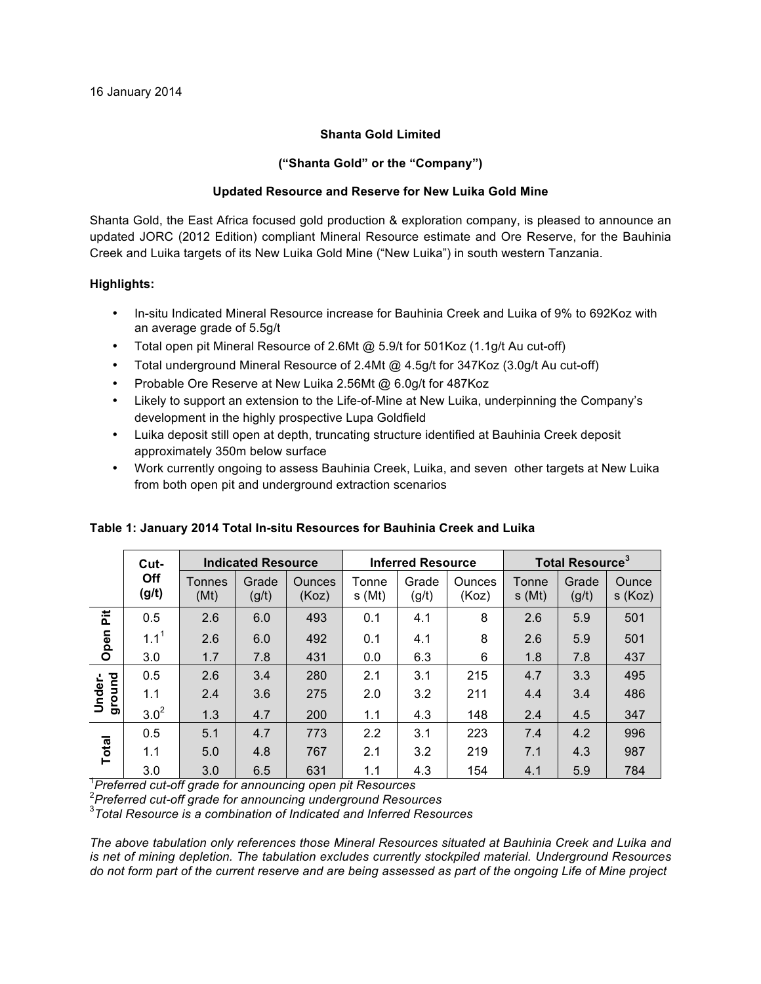# **Shanta Gold Limited**

# **("Shanta Gold" or the "Company")**

# **Updated Resource and Reserve for New Luika Gold Mine**

Shanta Gold, the East Africa focused gold production & exploration company, is pleased to announce an updated JORC (2012 Edition) compliant Mineral Resource estimate and Ore Reserve, for the Bauhinia Creek and Luika targets of its New Luika Gold Mine ("New Luika") in south western Tanzania.

# **Highlights:**

- In-situ Indicated Mineral Resource increase for Bauhinia Creek and Luika of 9% to 692Koz with an average grade of 5.5g/t
- Total open pit Mineral Resource of 2.6Mt @ 5.9/t for 501Koz (1.1g/t Au cut-off)
- Total underground Mineral Resource of 2.4Mt @ 4.5g/t for 347Koz (3.0g/t Au cut-off)
- Probable Ore Reserve at New Luika 2.56Mt @ 6.0g/t for 487Koz
- Likely to support an extension to the Life-of-Mine at New Luika, underpinning the Company's development in the highly prospective Lupa Goldfield
- Luika deposit still open at depth, truncating structure identified at Bauhinia Creek deposit approximately 350m below surface
- Work currently ongoing to assess Bauhinia Creek, Luika, and seven other targets at New Luika from both open pit and underground extraction scenarios

|                  | Cut-             | <b>Indicated Resource</b> |                |                        | <b>Inferred Resource</b> |                |                 | <b>Total Resource<sup>3</sup></b> |                |                  |
|------------------|------------------|---------------------------|----------------|------------------------|--------------------------|----------------|-----------------|-----------------------------------|----------------|------------------|
|                  | Off<br>(g/t)     | <b>Tonnes</b><br>(Mt)     | Grade<br>(g/t) | <b>Ounces</b><br>(Koz) | Tonne<br>s(Mt)           | Grade<br>(g/t) | Ounces<br>(Koz) | Tonne<br>s(Mt)                    | Grade<br>(g/t) | Ounce<br>s (Koz) |
| 훈                | 0.5              | 2.6                       | 6.0            | 493                    | 0.1                      | 4.1            | 8               | 2.6                               | 5.9            | 501              |
| Open             | 1.1 <sup>1</sup> | 2.6                       | 6.0            | 492                    | 0.1                      | 4.1            | 8               | 2.6                               | 5.9            | 501              |
|                  | 3.0              | 1.7                       | 7.8            | 431                    | 0.0                      | 6.3            | 6               | 1.8                               | 7.8            | 437              |
| ground<br>Under- | 0.5              | 2.6                       | 3.4            | 280                    | 2.1                      | 3.1            | 215             | 4.7                               | 3.3            | 495              |
|                  | 1.1              | 2.4                       | 3.6            | 275                    | 2.0                      | 3.2            | 211             | 4.4                               | 3.4            | 486              |
|                  | $3.0^{2}$        | 1.3                       | 4.7            | 200                    | 1.1                      | 4.3            | 148             | 2.4                               | 4.5            | 347              |
| <b>Total</b>     | 0.5              | 5.1                       | 4.7            | 773                    | 2.2                      | 3.1            | 223             | 7.4                               | 4.2            | 996              |
|                  | 1.1              | 5.0                       | 4.8            | 767                    | 2.1                      | 3.2            | 219             | 7.1                               | 4.3            | 987              |
|                  | 3.0              | 3.0                       | 6.5            | 631                    | 1.1                      | 4.3            | 154             | 4.1                               | 5.9            | 784              |

## **Table 1: January 2014 Total In-situ Resources for Bauhinia Creek and Luika**

1 *Preferred cut-off grade for announcing open pit Resources*

<sup>2</sup> Preferred cut-off grade for announcing underground Resources<br><sup>3</sup> Total Bessures is a sambination of Indiasted and Informal Bess

*Total Resource is a combination of Indicated and Inferred Resources*

*The above tabulation only references those Mineral Resources situated at Bauhinia Creek and Luika and is net of mining depletion. The tabulation excludes currently stockpiled material. Underground Resources do not form part of the current reserve and are being assessed as part of the ongoing Life of Mine project*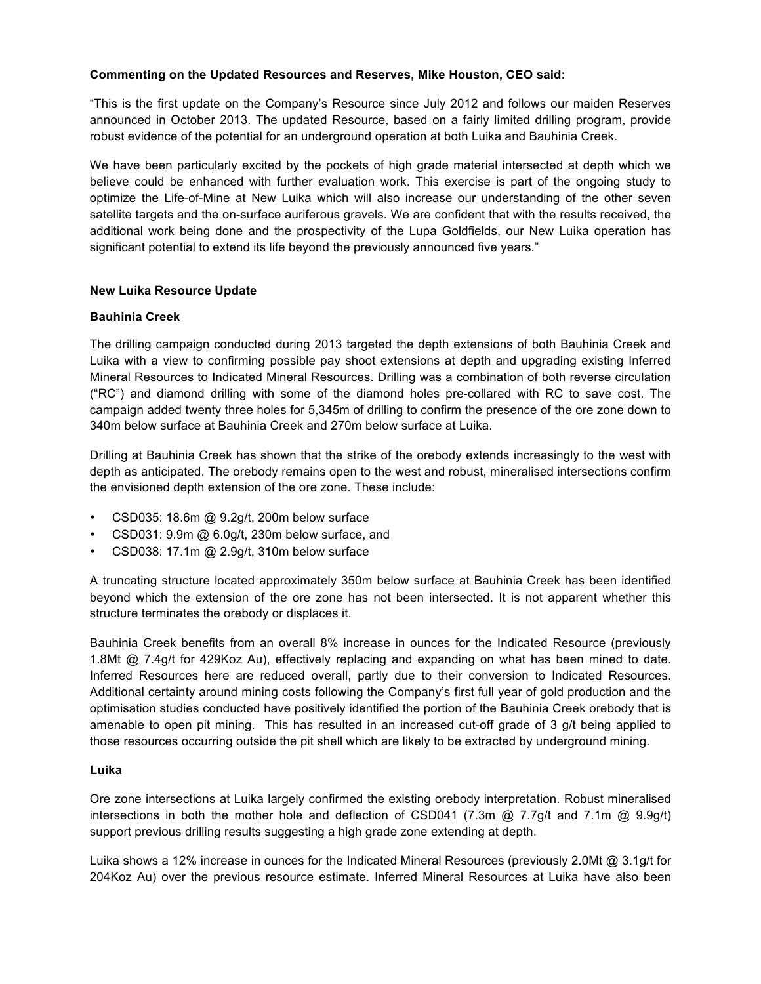# **Commenting on the Updated Resources and Reserves, Mike Houston, CEO said:**

"This is the first update on the Company's Resource since July 2012 and follows our maiden Reserves announced in October 2013. The updated Resource, based on a fairly limited drilling program, provide robust evidence of the potential for an underground operation at both Luika and Bauhinia Creek.

We have been particularly excited by the pockets of high grade material intersected at depth which we believe could be enhanced with further evaluation work. This exercise is part of the ongoing study to optimize the Life-of-Mine at New Luika which will also increase our understanding of the other seven satellite targets and the on-surface auriferous gravels. We are confident that with the results received, the additional work being done and the prospectivity of the Lupa Goldfields, our New Luika operation has significant potential to extend its life beyond the previously announced five years."

# **New Luika Resource Update**

# **Bauhinia Creek**

The drilling campaign conducted during 2013 targeted the depth extensions of both Bauhinia Creek and Luika with a view to confirming possible pay shoot extensions at depth and upgrading existing Inferred Mineral Resources to Indicated Mineral Resources. Drilling was a combination of both reverse circulation ("RC") and diamond drilling with some of the diamond holes pre-collared with RC to save cost. The campaign added twenty three holes for 5,345m of drilling to confirm the presence of the ore zone down to 340m below surface at Bauhinia Creek and 270m below surface at Luika.

Drilling at Bauhinia Creek has shown that the strike of the orebody extends increasingly to the west with depth as anticipated. The orebody remains open to the west and robust, mineralised intersections confirm the envisioned depth extension of the ore zone. These include:

- CSD035: 18.6m @ 9.2g/t, 200m below surface
- CSD031: 9.9m @ 6.0g/t, 230m below surface, and
- CSD038: 17.1m @ 2.9g/t, 310m below surface

A truncating structure located approximately 350m below surface at Bauhinia Creek has been identified beyond which the extension of the ore zone has not been intersected. It is not apparent whether this structure terminates the orebody or displaces it.

Bauhinia Creek benefits from an overall 8% increase in ounces for the Indicated Resource (previously 1.8Mt @ 7.4g/t for 429Koz Au), effectively replacing and expanding on what has been mined to date. Inferred Resources here are reduced overall, partly due to their conversion to Indicated Resources. Additional certainty around mining costs following the Company's first full year of gold production and the optimisation studies conducted have positively identified the portion of the Bauhinia Creek orebody that is amenable to open pit mining. This has resulted in an increased cut-off grade of 3 g/t being applied to those resources occurring outside the pit shell which are likely to be extracted by underground mining.

## **Luika**

Ore zone intersections at Luika largely confirmed the existing orebody interpretation. Robust mineralised intersections in both the mother hole and deflection of CSD041 (7.3m @ 7.7g/t and 7.1m @ 9.9g/t) support previous drilling results suggesting a high grade zone extending at depth.

Luika shows a 12% increase in ounces for the Indicated Mineral Resources (previously 2.0Mt @ 3.1g/t for 204Koz Au) over the previous resource estimate. Inferred Mineral Resources at Luika have also been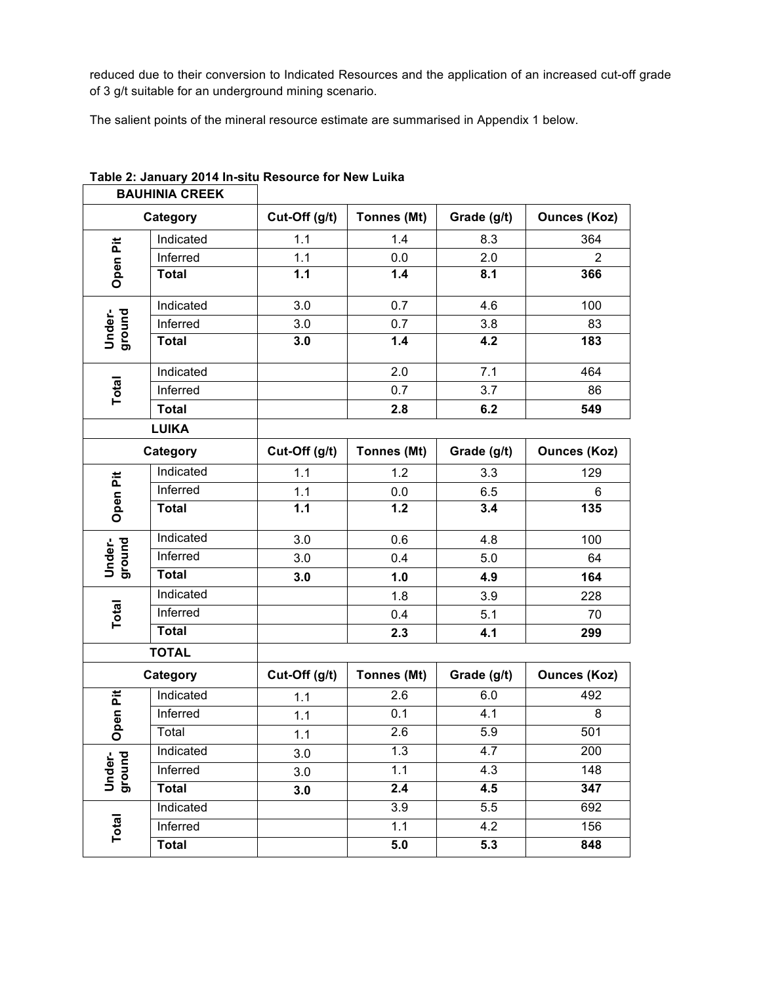reduced due to their conversion to Indicated Resources and the application of an increased cut-off grade of 3 g/t suitable for an underground mining scenario.

The salient points of the mineral resource estimate are summarised in Appendix 1 below.

| <b>BAUHINIA CREEK</b> |              |               |                    |             |                     |  |
|-----------------------|--------------|---------------|--------------------|-------------|---------------------|--|
| Category              |              | Cut-Off (g/t) | Tonnes (Mt)        | Grade (g/t) | <b>Ounces (Koz)</b> |  |
|                       | Indicated    | 1.1           | 1.4                | 8.3         | 364                 |  |
|                       | Inferred     | 1.1           | 0.0                | 2.0         | $\overline{2}$      |  |
| Open Pit              | <b>Total</b> | 1.1           | 1.4                | 8.1         | 366                 |  |
| ground<br>Under-      | Indicated    | 3.0           | 0.7                | 4.6         | 100                 |  |
|                       | Inferred     | 3.0           | 0.7                | 3.8         | 83                  |  |
|                       | <b>Total</b> | 3.0           | 1.4                | 4.2         | 183                 |  |
|                       | Indicated    |               | 2.0                | 7.1         | 464                 |  |
| <b>Total</b>          | Inferred     |               | 0.7                | 3.7         | 86                  |  |
|                       | <b>Total</b> |               | 2.8                | 6.2         | 549                 |  |
| <b>LUIKA</b>          |              |               |                    |             |                     |  |
| Category              |              | Cut-Off (g/t) | <b>Tonnes (Mt)</b> | Grade (g/t) | <b>Ounces (Koz)</b> |  |
|                       | Indicated    | 1.1           | 1.2                | 3.3         | 129                 |  |
|                       | Inferred     | 1.1           | 0.0                | 6.5         | 6                   |  |
| Open Pit              | <b>Total</b> | 1.1           | 1.2                | 3.4         | 135                 |  |
|                       | Indicated    | 3.0           | 0.6                | 4.8         | 100                 |  |
| ground<br>Under-      | Inferred     | 3.0           | 0.4                | 5.0         | 64                  |  |
|                       | <b>Total</b> | 3.0           | 1.0                | 4.9         | 164                 |  |
|                       | Indicated    |               | 1.8                | 3.9         | 228                 |  |
| <b>Total</b>          | Inferred     |               | 0.4                | 5.1         | 70                  |  |
|                       | <b>Total</b> |               | 2.3                | 4.1         | 299                 |  |
|                       | <b>TOTAL</b> |               |                    |             |                     |  |
| Category              |              | Cut-Off (g/t) | Tonnes (Mt)        | Grade (g/t) | <b>Ounces (Koz)</b> |  |
|                       | Indicated    | 1.1           | 2.6                | 6.0         | 492                 |  |
| Open Pit              | Inferred     | 1.1           | 0.1                | 4.1         | 8                   |  |
|                       | Total        | 1.1           | 2.6                | 5.9         | 501                 |  |
|                       | Indicated    | 3.0           | 1.3                | 4.7         | 200                 |  |
| Under-<br>ground      | Inferred     | 3.0           | 1.1                | 4.3         | 148                 |  |
|                       | <b>Total</b> | 3.0           | 2.4                | 4.5         | 347                 |  |
|                       | Indicated    |               | 3.9                | 5.5         | 692                 |  |
| Total                 | Inferred     |               | 1.1                | 4.2         | 156                 |  |
|                       | <b>Total</b> |               | 5.0                | 5.3         | 848                 |  |

# **Table 2: January 2014 In-situ Resource for New Luika**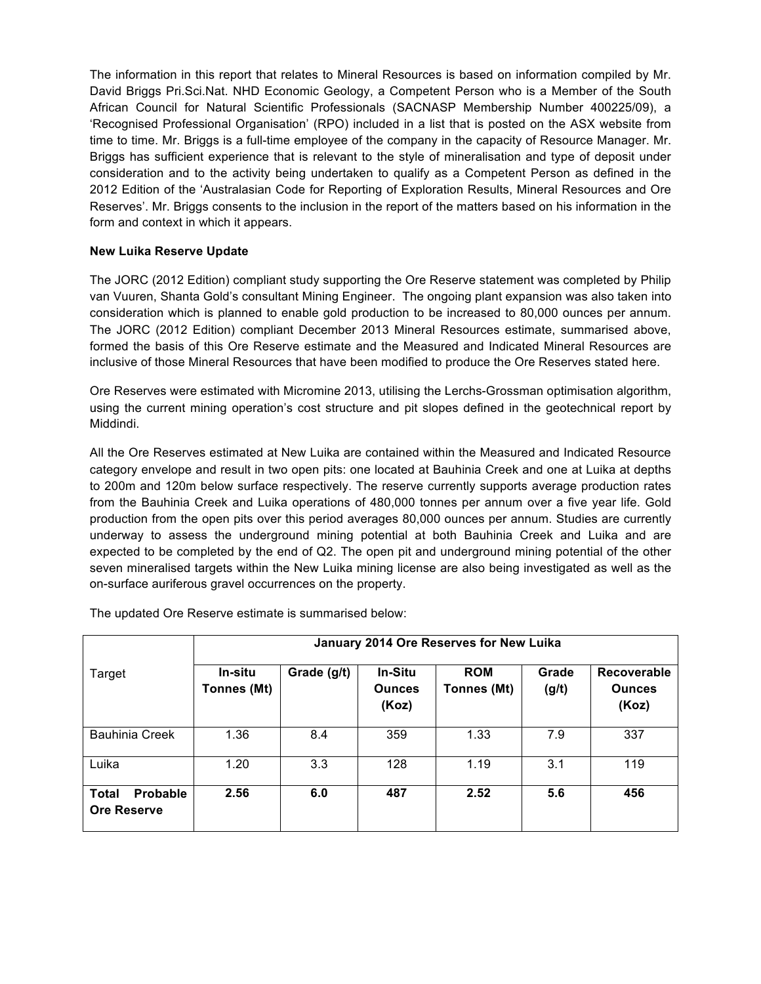The information in this report that relates to Mineral Resources is based on information compiled by Mr. David Briggs Pri.Sci.Nat. NHD Economic Geology, a Competent Person who is a Member of the South African Council for Natural Scientific Professionals (SACNASP Membership Number 400225/09), a 'Recognised Professional Organisation' (RPO) included in a list that is posted on the ASX website from time to time. Mr. Briggs is a full-time employee of the company in the capacity of Resource Manager. Mr. Briggs has sufficient experience that is relevant to the style of mineralisation and type of deposit under consideration and to the activity being undertaken to qualify as a Competent Person as defined in the 2012 Edition of the 'Australasian Code for Reporting of Exploration Results, Mineral Resources and Ore Reserves'. Mr. Briggs consents to the inclusion in the report of the matters based on his information in the form and context in which it appears.

# **New Luika Reserve Update**

The JORC (2012 Edition) compliant study supporting the Ore Reserve statement was completed by Philip van Vuuren, Shanta Gold's consultant Mining Engineer. The ongoing plant expansion was also taken into consideration which is planned to enable gold production to be increased to 80,000 ounces per annum. The JORC (2012 Edition) compliant December 2013 Mineral Resources estimate, summarised above, formed the basis of this Ore Reserve estimate and the Measured and Indicated Mineral Resources are inclusive of those Mineral Resources that have been modified to produce the Ore Reserves stated here.

Ore Reserves were estimated with Micromine 2013, utilising the Lerchs-Grossman optimisation algorithm, using the current mining operation's cost structure and pit slopes defined in the geotechnical report by Middindi.

All the Ore Reserves estimated at New Luika are contained within the Measured and Indicated Resource category envelope and result in two open pits: one located at Bauhinia Creek and one at Luika at depths to 200m and 120m below surface respectively. The reserve currently supports average production rates from the Bauhinia Creek and Luika operations of 480,000 tonnes per annum over a five year life. Gold production from the open pits over this period averages 80,000 ounces per annum. Studies are currently underway to assess the underground mining potential at both Bauhinia Creek and Luika and are expected to be completed by the end of Q2. The open pit and underground mining potential of the other seven mineralised targets within the New Luika mining license are also being investigated as well as the on-surface auriferous gravel occurrences on the property.

|                                                       | January 2014 Ore Reserves for New Luika |             |                                          |                           |                |                                       |  |
|-------------------------------------------------------|-----------------------------------------|-------------|------------------------------------------|---------------------------|----------------|---------------------------------------|--|
| Target                                                | In-situ<br>Tonnes (Mt)                  | Grade (g/t) | <b>In-Situ</b><br><b>Ounces</b><br>(Koz) | <b>ROM</b><br>Tonnes (Mt) | Grade<br>(g/t) | Recoverable<br><b>Ounces</b><br>(Koz) |  |
| <b>Bauhinia Creek</b>                                 | 1.36                                    | 8.4         | 359                                      | 1.33                      | 7.9            | 337                                   |  |
| Luika                                                 | 1.20                                    | 3.3         | 128                                      | 1.19                      | 3.1            | 119                                   |  |
| <b>Probable</b><br><b>Total</b><br><b>Ore Reserve</b> | 2.56                                    | 6.0         | 487                                      | 2.52                      | 5.6            | 456                                   |  |

The updated Ore Reserve estimate is summarised below: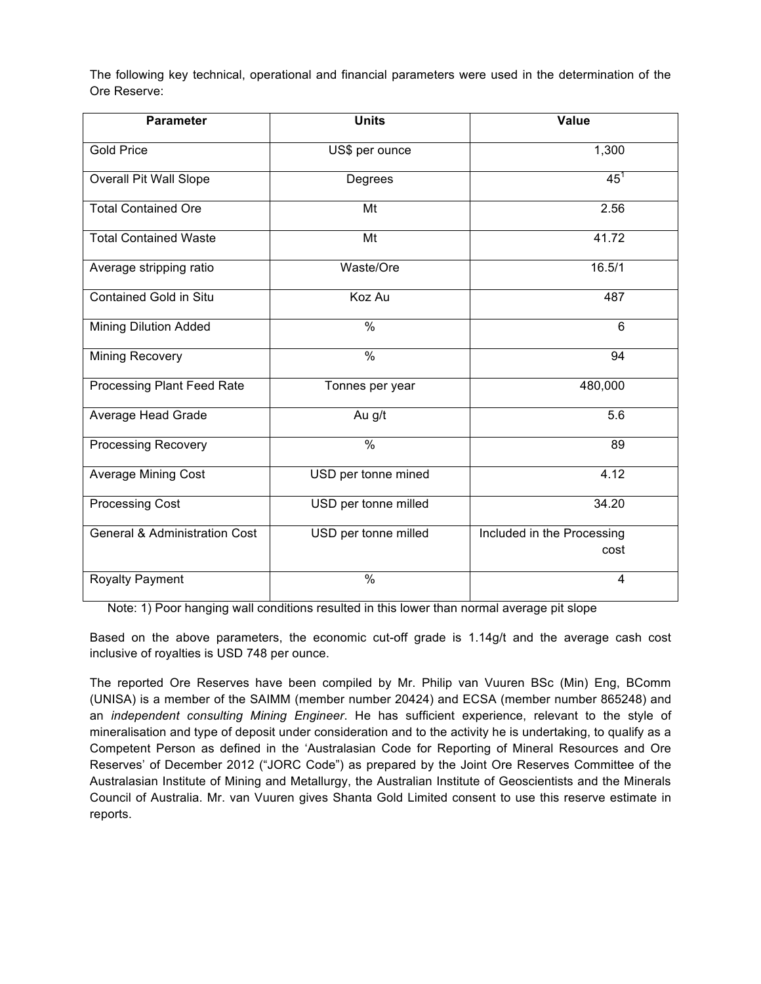The following key technical, operational and financial parameters were used in the determination of the Ore Reserve:

| <b>Parameter</b>                         | <b>Units</b>         | Value                              |  |  |
|------------------------------------------|----------------------|------------------------------------|--|--|
| <b>Gold Price</b>                        | US\$ per ounce       | 1,300                              |  |  |
| Overall Pit Wall Slope                   | Degrees              | $45^{\circ}$                       |  |  |
| <b>Total Contained Ore</b>               | Mt                   | 2.56                               |  |  |
| <b>Total Contained Waste</b>             | Mt                   | 41.72                              |  |  |
| Average stripping ratio                  | Waste/Ore            | 16.5/1                             |  |  |
| <b>Contained Gold in Situ</b>            | Koz Au               | 487                                |  |  |
| <b>Mining Dilution Added</b>             | $\frac{0}{0}$        | $6\phantom{1}$                     |  |  |
| Mining Recovery                          | $\frac{0}{0}$        | 94                                 |  |  |
| Processing Plant Feed Rate               | Tonnes per year      | 480,000                            |  |  |
| Average Head Grade                       | Au g/t               | 5.6                                |  |  |
| <b>Processing Recovery</b>               | $\%$                 | 89                                 |  |  |
| Average Mining Cost                      | USD per tonne mined  | 4.12                               |  |  |
| <b>Processing Cost</b>                   | USD per tonne milled | 34.20                              |  |  |
| <b>General &amp; Administration Cost</b> | USD per tonne milled | Included in the Processing<br>cost |  |  |
| <b>Royalty Payment</b>                   | $\frac{0}{0}$        | 4                                  |  |  |

Note: 1) Poor hanging wall conditions resulted in this lower than normal average pit slope

Based on the above parameters, the economic cut-off grade is 1.14g/t and the average cash cost inclusive of royalties is USD 748 per ounce.

The reported Ore Reserves have been compiled by Mr. Philip van Vuuren BSc (Min) Eng, BComm (UNISA) is a member of the SAIMM (member number 20424) and ECSA (member number 865248) and an *independent consulting Mining Engineer*. He has sufficient experience, relevant to the style of mineralisation and type of deposit under consideration and to the activity he is undertaking, to qualify as a Competent Person as defined in the 'Australasian Code for Reporting of Mineral Resources and Ore Reserves' of December 2012 ("JORC Code") as prepared by the Joint Ore Reserves Committee of the Australasian Institute of Mining and Metallurgy, the Australian Institute of Geoscientists and the Minerals Council of Australia. Mr. van Vuuren gives Shanta Gold Limited consent to use this reserve estimate in reports.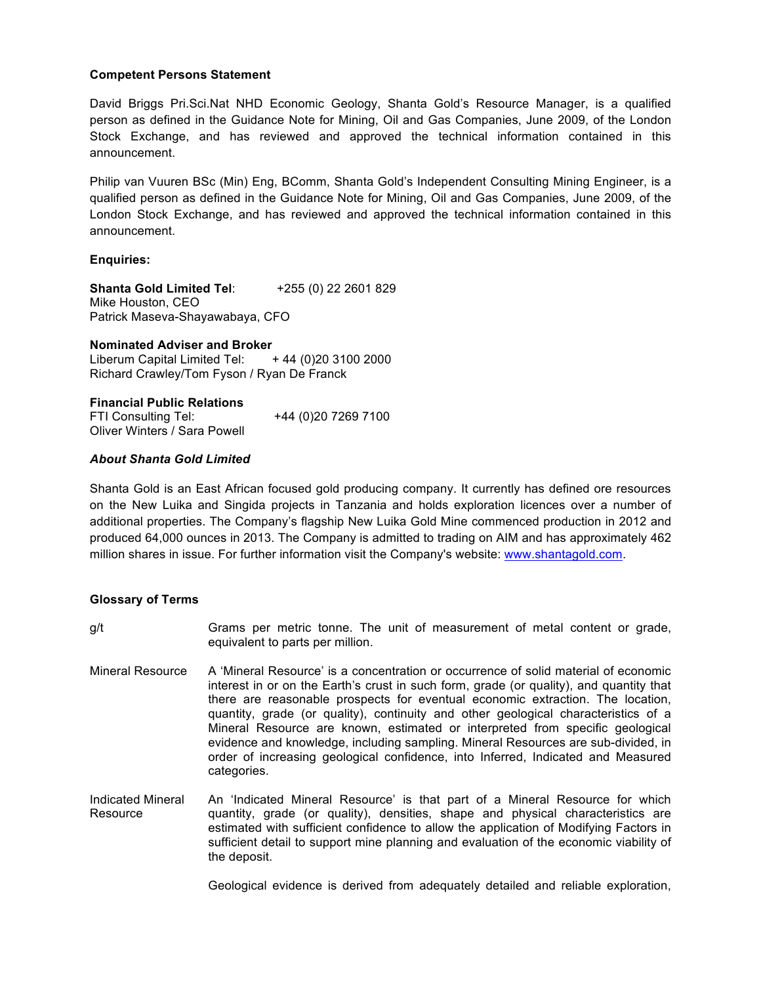## **Competent Persons Statement**

David Briggs Pri.Sci.Nat NHD Economic Geology, Shanta Gold's Resource Manager, is a qualified person as defined in the Guidance Note for Mining, Oil and Gas Companies, June 2009, of the London Stock Exchange, and has reviewed and approved the technical information contained in this announcement.

Philip van Vuuren BSc (Min) Eng, BComm, Shanta Gold's Independent Consulting Mining Engineer, is a qualified person as defined in the Guidance Note for Mining, Oil and Gas Companies, June 2009, of the London Stock Exchange, and has reviewed and approved the technical information contained in this announcement.

# **Enquiries:**

**Shanta Gold Limited Tel**: +255 (0) 22 2601 829 Mike Houston, CEO Patrick Maseva-Shayawabaya, CFO

## **Nominated Adviser and Broker**

Liberum Capital Limited Tel:  $+44$  (0)20 3100 2000 Richard Crawley/Tom Fyson / Ryan De Franck

## **Financial Public Relations**

FTI Consulting Tel: +44 (0)20 7269 7100 Oliver Winters / Sara Powell

## *About Shanta Gold Limited*

Shanta Gold is an East African focused gold producing company. It currently has defined ore resources on the New Luika and Singida projects in Tanzania and holds exploration licences over a number of additional properties. The Company's flagship New Luika Gold Mine commenced production in 2012 and produced 64,000 ounces in 2013. The Company is admitted to trading on AIM and has approximately 462 million shares in issue. For further information visit the Company's website: www.shantagold.com.

## **Glossary of Terms**

g/t Grams per metric tonne. The unit of measurement of metal content or grade, equivalent to parts per million.

- Mineral Resource A 'Mineral Resource' is a concentration or occurrence of solid material of economic interest in or on the Earth's crust in such form, grade (or quality), and quantity that there are reasonable prospects for eventual economic extraction. The location, quantity, grade (or quality), continuity and other geological characteristics of a Mineral Resource are known, estimated or interpreted from specific geological evidence and knowledge, including sampling. Mineral Resources are sub-divided, in order of increasing geological confidence, into Inferred, Indicated and Measured categories.
- Indicated Mineral Resource An 'Indicated Mineral Resource' is that part of a Mineral Resource for which quantity, grade (or quality), densities, shape and physical characteristics are estimated with sufficient confidence to allow the application of Modifying Factors in sufficient detail to support mine planning and evaluation of the economic viability of the deposit.

Geological evidence is derived from adequately detailed and reliable exploration,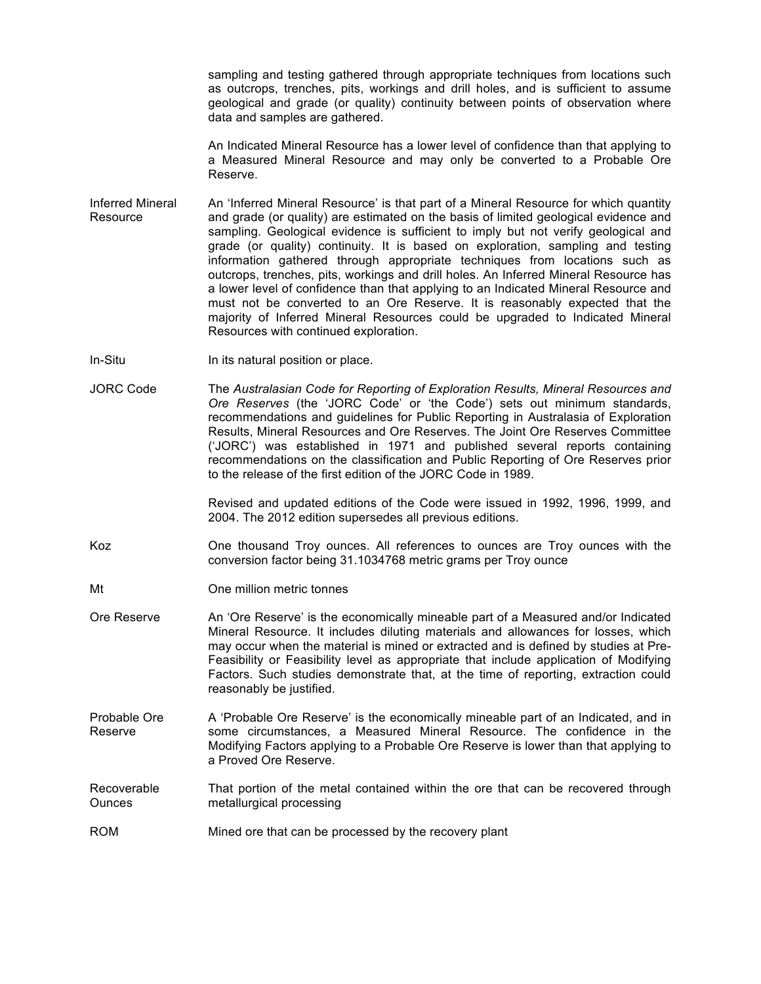sampling and testing gathered through appropriate techniques from locations such as outcrops, trenches, pits, workings and drill holes, and is sufficient to assume geological and grade (or quality) continuity between points of observation where data and samples are gathered.

An Indicated Mineral Resource has a lower level of confidence than that applying to a Measured Mineral Resource and may only be converted to a Probable Ore Reserve.

- Inferred Mineral **Resource** An 'Inferred Mineral Resource' is that part of a Mineral Resource for which quantity and grade (or quality) are estimated on the basis of limited geological evidence and sampling. Geological evidence is sufficient to imply but not verify geological and grade (or quality) continuity. It is based on exploration, sampling and testing information gathered through appropriate techniques from locations such as outcrops, trenches, pits, workings and drill holes. An Inferred Mineral Resource has a lower level of confidence than that applying to an Indicated Mineral Resource and must not be converted to an Ore Reserve. It is reasonably expected that the majority of Inferred Mineral Resources could be upgraded to Indicated Mineral Resources with continued exploration.
- In-Situ In its natural position or place.
- JORC Code The *Australasian Code for Reporting of Exploration Results, Mineral Resources and Ore Reserves* (the 'JORC Code' or 'the Code') sets out minimum standards, recommendations and guidelines for Public Reporting in Australasia of Exploration Results, Mineral Resources and Ore Reserves. The Joint Ore Reserves Committee ('JORC') was established in 1971 and published several reports containing recommendations on the classification and Public Reporting of Ore Reserves prior to the release of the first edition of the JORC Code in 1989.

Revised and updated editions of the Code were issued in 1992, 1996, 1999, and 2004. The 2012 edition supersedes all previous editions.

- Koz One thousand Troy ounces. All references to ounces are Troy ounces with the conversion factor being 31.1034768 metric grams per Troy ounce
- Mt One million metric tonnes
- Ore Reserve An 'Ore Reserve' is the economically mineable part of a Measured and/or Indicated Mineral Resource. It includes diluting materials and allowances for losses, which may occur when the material is mined or extracted and is defined by studies at Pre-Feasibility or Feasibility level as appropriate that include application of Modifying Factors. Such studies demonstrate that, at the time of reporting, extraction could reasonably be justified.
- Probable Ore Reserve A 'Probable Ore Reserve' is the economically mineable part of an Indicated, and in some circumstances, a Measured Mineral Resource. The confidence in the Modifying Factors applying to a Probable Ore Reserve is lower than that applying to a Proved Ore Reserve.

Recoverable **Ounces** That portion of the metal contained within the ore that can be recovered through metallurgical processing

ROM Mined ore that can be processed by the recovery plant